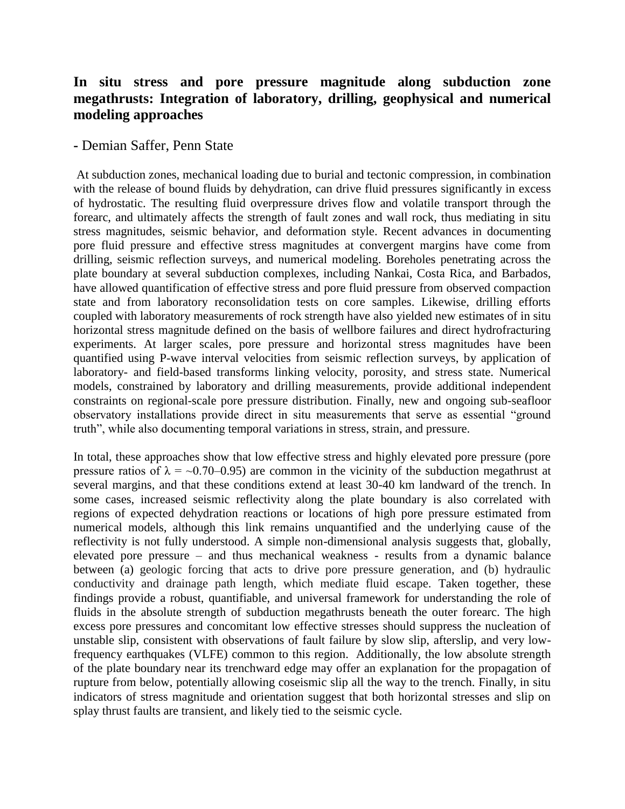## **In situ stress and pore pressure magnitude along subduction zone megathrusts: Integration of laboratory, drilling, geophysical and numerical modeling approaches**

## **-** Demian Saffer, Penn State

At subduction zones, mechanical loading due to burial and tectonic compression, in combination with the release of bound fluids by dehydration, can drive fluid pressures significantly in excess of hydrostatic. The resulting fluid overpressure drives flow and volatile transport through the forearc, and ultimately affects the strength of fault zones and wall rock, thus mediating in situ stress magnitudes, seismic behavior, and deformation style. Recent advances in documenting pore fluid pressure and effective stress magnitudes at convergent margins have come from drilling, seismic reflection surveys, and numerical modeling. Boreholes penetrating across the plate boundary at several subduction complexes, including Nankai, Costa Rica, and Barbados, have allowed quantification of effective stress and pore fluid pressure from observed compaction state and from laboratory reconsolidation tests on core samples. Likewise, drilling efforts coupled with laboratory measurements of rock strength have also yielded new estimates of in situ horizontal stress magnitude defined on the basis of wellbore failures and direct hydrofracturing experiments. At larger scales, pore pressure and horizontal stress magnitudes have been quantified using P-wave interval velocities from seismic reflection surveys, by application of laboratory- and field-based transforms linking velocity, porosity, and stress state. Numerical models, constrained by laboratory and drilling measurements, provide additional independent constraints on regional-scale pore pressure distribution. Finally, new and ongoing sub-seafloor observatory installations provide direct in situ measurements that serve as essential "ground truth", while also documenting temporal variations in stress, strain, and pressure.

In total, these approaches show that low effective stress and highly elevated pore pressure (pore pressure ratios of  $\lambda = -0.70 - 0.95$ ) are common in the vicinity of the subduction megathrust at several margins, and that these conditions extend at least 30-40 km landward of the trench. In some cases, increased seismic reflectivity along the plate boundary is also correlated with regions of expected dehydration reactions or locations of high pore pressure estimated from numerical models, although this link remains unquantified and the underlying cause of the reflectivity is not fully understood. A simple non-dimensional analysis suggests that, globally, elevated pore pressure – and thus mechanical weakness - results from a dynamic balance between (a) geologic forcing that acts to drive pore pressure generation, and (b) hydraulic conductivity and drainage path length, which mediate fluid escape. Taken together, these findings provide a robust, quantifiable, and universal framework for understanding the role of fluids in the absolute strength of subduction megathrusts beneath the outer forearc. The high excess pore pressures and concomitant low effective stresses should suppress the nucleation of unstable slip, consistent with observations of fault failure by slow slip, afterslip, and very lowfrequency earthquakes (VLFE) common to this region. Additionally, the low absolute strength of the plate boundary near its trenchward edge may offer an explanation for the propagation of rupture from below, potentially allowing coseismic slip all the way to the trench. Finally, in situ indicators of stress magnitude and orientation suggest that both horizontal stresses and slip on splay thrust faults are transient, and likely tied to the seismic cycle.